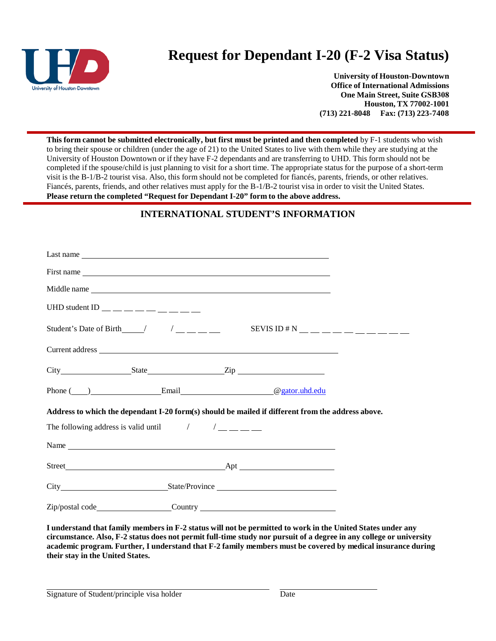

# **Request for Dependant I-20 (F-2 Visa Status)**

**University of Houston-Downtown Office of International Admissions One Main Street, Suite GSB308 Houston, TX 77002-1001 (713) 221-8048 Fax: (713) 223-7408**

**This form cannot be submitted electronically, but first must be printed and then completed** by F-1 students who wish to bring their spouse or children (under the age of 21) to the United States to live with them while they are studying at the University of Houston Downtown or if they have F-2 dependants and are transferring to UHD. This form should not be completed if the spouse/child is just planning to visit for a short time. The appropriate status for the purpose of a short-term visit is the B-1/B-2 tourist visa. Also, this form should not be completed for fiancés, parents, friends, or other relatives. Fiancés, parents, friends, and other relatives must apply for the B-1/B-2 tourist visa in order to visit the United States. **Please return the completed "Request for Dependant I-20" form to the above address.**

# **INTERNATIONAL STUDENT'S INFORMATION**

| UHD student ID $\_\_\_\_\_\_\_\_\_\_\_\_\_\_\_\_\_\_\_$                                                                                                                 |  |                                                                                                                                                                                                                                |  |  |
|-------------------------------------------------------------------------------------------------------------------------------------------------------------------------|--|--------------------------------------------------------------------------------------------------------------------------------------------------------------------------------------------------------------------------------|--|--|
|                                                                                                                                                                         |  | Student's Date of Birth____/ $/$ _______ SEVIS ID # N ___________                                                                                                                                                              |  |  |
|                                                                                                                                                                         |  |                                                                                                                                                                                                                                |  |  |
|                                                                                                                                                                         |  |                                                                                                                                                                                                                                |  |  |
|                                                                                                                                                                         |  | Phone ( ) Email Contract Contract Contract Contract Contract Contract Contract Contract Contract Contract Contract Contract Contract Contract Contract Contract Contract Contract Contract Contract Contract Contract Contract |  |  |
| Address to which the dependant I-20 form(s) should be mailed if different from the address above.                                                                       |  |                                                                                                                                                                                                                                |  |  |
| The following address is valid until $\left( \begin{array}{cc} \frac{1}{2} & \frac{1}{2} \\ \frac{1}{2} & \frac{1}{2} \\ \frac{1}{2} & \frac{1}{2} \end{array} \right)$ |  |                                                                                                                                                                                                                                |  |  |
|                                                                                                                                                                         |  |                                                                                                                                                                                                                                |  |  |
|                                                                                                                                                                         |  |                                                                                                                                                                                                                                |  |  |
|                                                                                                                                                                         |  | City State/Province                                                                                                                                                                                                            |  |  |
|                                                                                                                                                                         |  | Zip/postal code_________________________Country _________________________________                                                                                                                                              |  |  |

**I understand that family members in F-2 status will not be permitted to work in the United States under any circumstance. Also, F-2 status does not permit full-time study nor pursuit of a degree in any college or university academic program. Further, I understand that F-2 family members must be covered by medical insurance during their stay in the United States.**

Signature of Student/principle visa holder Date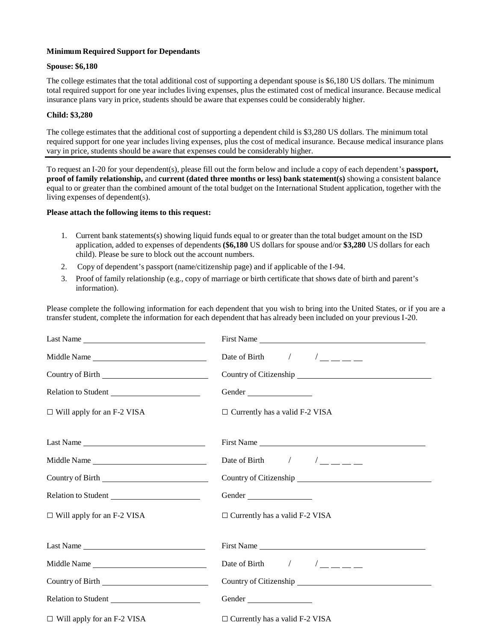## **Minimum Required Support for Dependants**

#### **Spouse: \$6,180**

The college estimates that the total additional cost of supporting a dependant spouse is \$6,180 US dollars. The minimum total required support for one year includes living expenses, plus the estimated cost of medical insurance. Because medical insurance plans vary in price, students should be aware that expenses could be considerably higher.

#### **Child: \$3,280**

The college estimates that the additional cost of supporting a dependent child is \$3,280 US dollars. The minimum total required support for one year includes living expenses, plus the cost of medical insurance. Because medical insurance plans vary in price, students should be aware that expenses could be considerably higher.

To request an I-20 for your dependent(s), please fill out the form below and include a copy of each dependent's **passport, proof of family relationship,** and **current (dated three months or less) bank statement(s)** showing a consistent balance equal to or greater than the combined amount of the total budget on the International Student application, together with the living expenses of dependent(s).

## **Please attach the following items to this request:**

- 1. Current bank statements(s) showing liquid funds equal to or greater than the total budget amount on the ISD application, added to expenses of dependents **(\$6,180** US dollars for spouse and/or **\$3,280** US dollars for each child). Please be sure to block out the account numbers.
- 2. Copy of dependent's passport (name/citizenship page) and if applicable of the I-94.
- 3. Proof of family relationship (e.g., copy of marriage or birth certificate that shows date of birth and parent's information).

Please complete the following information for each dependent that you wish to bring into the United States, or if you are a transfer student, complete the information for each dependent that has already been included on your previous I-20.

| Last Name                         | First Name                            |
|-----------------------------------|---------------------------------------|
| Middle Name                       |                                       |
|                                   | Country of Citizenship                |
| Relation to Student               | Gender                                |
| $\Box$ Will apply for an F-2 VISA | $\Box$ Currently has a valid F-2 VISA |
| Last Name                         | First Name                            |
| Middle Name                       |                                       |
|                                   | Country of Citizenship                |
| Relation to Student               | Gender                                |
| $\Box$ Will apply for an F-2 VISA | $\Box$ Currently has a valid F-2 VISA |
| Last Name                         | First Name                            |
| Middle Name                       |                                       |
| Country of Birth                  |                                       |
| Relation to Student               | Gender                                |
| $\Box$ Will apply for an F-2 VISA | $\Box$ Currently has a valid F-2 VISA |